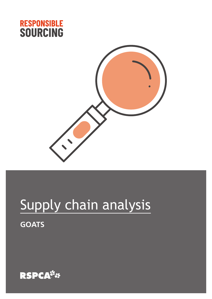



# Supply chain analysis **GOATS**